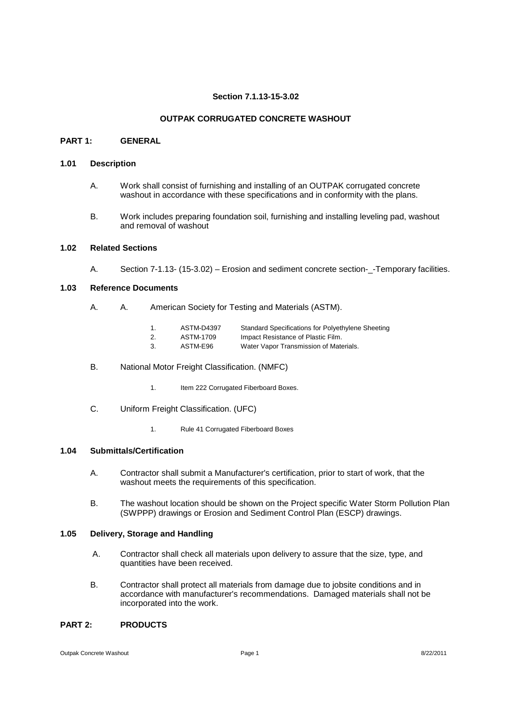### **Section 7.1.13-15-3.02**

### **OUTPAK CORRUGATED CONCRETE WASHOUT**

#### **PART 1: GENERAL**

#### **1.01 Description**

- A. Work shall consist of furnishing and installing of an OUTPAK corrugated concrete washout in accordance with these specifications and in conformity with the plans.
- B. Work includes preparing foundation soil, furnishing and installing leveling pad, washout and removal of washout

## **1.02 Related Sections**

A. Section 7-1.13- (15-3.02) – Erosion and sediment concrete section- - Temporary facilities.

### **1.03 Reference Documents**

- A. A. American Society for Testing and Materials (ASTM).
	- 1. ASTM-D4397 Standard Specifications for Polyethylene Sheeting 2. ASTM-1709 Impact Resistance of Plastic Film.<br>3 ASTM-E96 Water Vanor Transmission of Mate 3. ASTM-E96 Water Vapor Transmission of Materials.
	-
- B. National Motor Freight Classification. (NMFC)
	- 1. Item 222 Corrugated Fiberboard Boxes.
- C. Uniform Freight Classification. (UFC)
	- 1. Rule 41 Corrugated Fiberboard Boxes

#### **1.04 Submittals/Certification**

- A. Contractor shall submit a Manufacturer's certification, prior to start of work, that the washout meets the requirements of this specification.
- B. The washout location should be shown on the Project specific Water Storm Pollution Plan (SWPPP) drawings or Erosion and Sediment Control Plan (ESCP) drawings.

## **1.05 Delivery, Storage and Handling**

- A. Contractor shall check all materials upon delivery to assure that the size, type, and quantities have been received.
- B. Contractor shall protect all materials from damage due to jobsite conditions and in accordance with manufacturer's recommendations. Damaged materials shall not be incorporated into the work.

## **PART 2: PRODUCTS**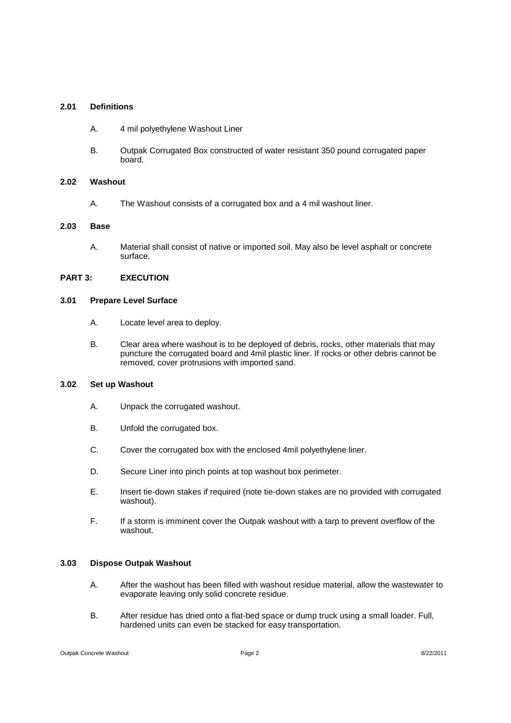#### **2.01 Definitions**

- A. 4 mil polyethylene Washout Liner
- B. Outpak Corrugated Box constructed of water resistant 350 pound corrugated paper board.

#### **2.02 Washout**

A. The Washout consists of a corrugated box and a 4 mil washout liner.

#### **2.03 Base**

A. Material shall consist of native or imported soil. May also be level asphalt or concrete surface.

## **PART 3: EXECUTION**

#### **3.01 Prepare Level Surface**

- A. Locate level area to deploy.
- B. Clear area where washout is to be deployed of debris, rocks, other materials that may puncture the corrugated board and 4mil plastic liner. If rocks or other debris cannot be removed, cover protrusions with imported sand.

## **3.02 Set up Washout**

- A. Unpack the corrugated washout.
- B. Unfold the corrugated box.
- C. Cover the corrugated box with the enclosed 4mil polyethylene liner.
- D. Secure Liner into pinch points at top washout box perimeter.
- E. Insert tie-down stakes if required (note tie-down stakes are no provided with corrugated washout).
- F. If a storm is imminent cover the Outpak washout with a tarp to prevent overflow of the washout.

### **3.03 Dispose Outpak Washout**

- A. After the washout has been filled with washout residue material, allow the wastewater to evaporate leaving only solid concrete residue.
- B. After residue has dried onto a flat-bed space or dump truck using a small loader. Full, hardened units can even be stacked for easy transportation.